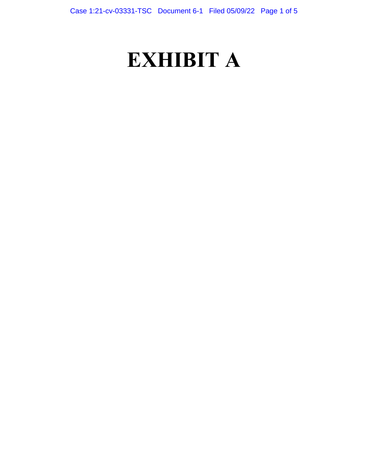# **EXHIBIT A**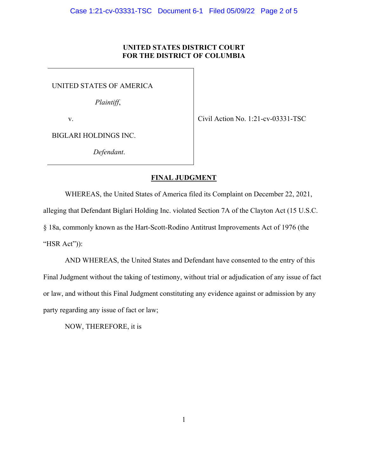# **UNITED STATES DISTRICT COURT FOR THE DISTRICT OF COLUMBIA**

UNITED STATES OF AMERICA

*Plaintiff*,

v. civil Action No. 1:21-cv-03331-TSC

BIGLARI HOLDINGS INC.

*Defendant*.

# **FINAL JUDGMENT**

 alleging that Defendant Biglari Holding Inc. violated Section 7A of the Clayton Act (15 U.S.C. WHEREAS, the United States of America filed its Complaint on December 22, 2021, § 18a, commonly known as the Hart-Scott-Rodino Antitrust Improvements Act of 1976 (the "HSR Act")):

 AND WHEREAS, the United States and Defendant have consented to the entry of this party regarding any issue of fact or law; Final Judgment without the taking of testimony, without trial or adjudication of any issue of fact or law, and without this Final Judgment constituting any evidence against or admission by any

NOW, THEREFORE, it is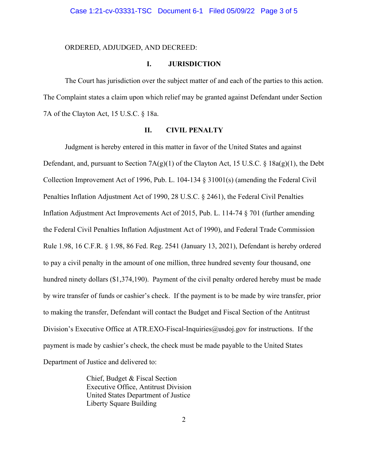### ORDERED, ADJUDGED, AND DECREED:

## **I. JURISDICTION**

The Court has jurisdiction over the subject matter of and each of the parties to this action. The Complaint states a claim upon which relief may be granted against Defendant under Section 7A of the Clayton Act, 15 U.S.C. § 18a.

## **II. CIVIL PENALTY**

 Judgment is hereby entered in this matter in favor of the United States and against Defendant, and, pursuant to Section 7A(g)(1) of the Clayton Act, 15 U.S.C. § 18a(g)(1), the Debt Penalties Inflation Adjustment Act of 1990, 28 U.S.C. § 2461), the Federal Civil Penalties Division's Executive Office at [ATR.EXO-Fiscal-Inquiries@usdoj.gov](mailto:ATR.EXO-Fiscal-Inquiries@usdoj.gov) for instructions. If the Collection Improvement Act of 1996, Pub. L. 104-134 § 31001(s) (amending the Federal Civil Inflation Adjustment Act Improvements Act of 2015, Pub. L. 114-74 § 701 (further amending the Federal Civil Penalties Inflation Adjustment Act of 1990), and Federal Trade Commission Rule 1.98, 16 C.F.R. § 1.98, 86 Fed. Reg. 2541 (January 13, 2021), Defendant is hereby ordered to pay a civil penalty in the amount of one million, three hundred seventy four thousand, one hundred ninety dollars (\$1,374,190). Payment of the civil penalty ordered hereby must be made by wire transfer of funds or cashier's check. If the payment is to be made by wire transfer, prior to making the transfer, Defendant will contact the Budget and Fiscal Section of the Antitrust payment is made by cashier's check, the check must be made payable to the United States Department of Justice and delivered to:

> Liberty Square Building<br>2 Chief, Budget & Fiscal Section Executive Office, Antitrust Division United States Department of Justice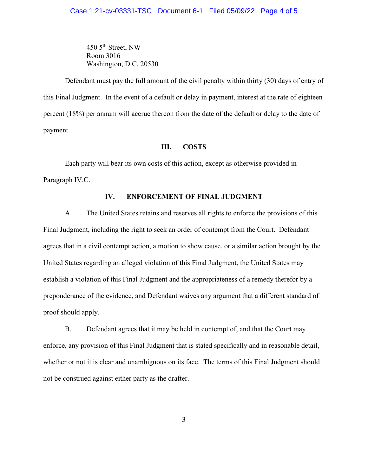450  $5<sup>th</sup>$  Street, NW Room 3016 Washington, D.C. 20530

<span id="page-3-0"></span> this Final Judgment. In the event of a default or delay in payment, interest at the rate of eighteen percent (18%) per annum will accrue thereon from the date of the default or delay to the date of Defendant must pay the full amount of the civil penalty within thirty (30) days of entry of payment.

#### III. **III. COSTS**

 Each party will bear its own costs of this action, except as otherwise provided in Paragraph IV.C.

## **IV. ENFORCEMENT OF FINAL JUDGMENT**

 Final Judgment, including the right to seek an order of contempt from the Court. Defendant agrees that in a civil contempt action, a motion to show cause, or a similar action brought by the United States regarding an alleged violation of this Final Judgment, the United States may A. The United States retains and reserves all rights to enforce the provisions of this establish a violation of this Final Judgment and the appropriateness of a remedy therefor by a preponderance of the evidence, and Defendant waives any argument that a different standard of proof should apply.

 whether or not it is clear and unambiguous on its face. The terms of this Final Judgment should B. Defendant agrees that it may be held in contempt of, and that the Court may enforce, any provision of this Final Judgment that is stated specifically and in reasonable detail, not be construed against either party as the drafter.

3